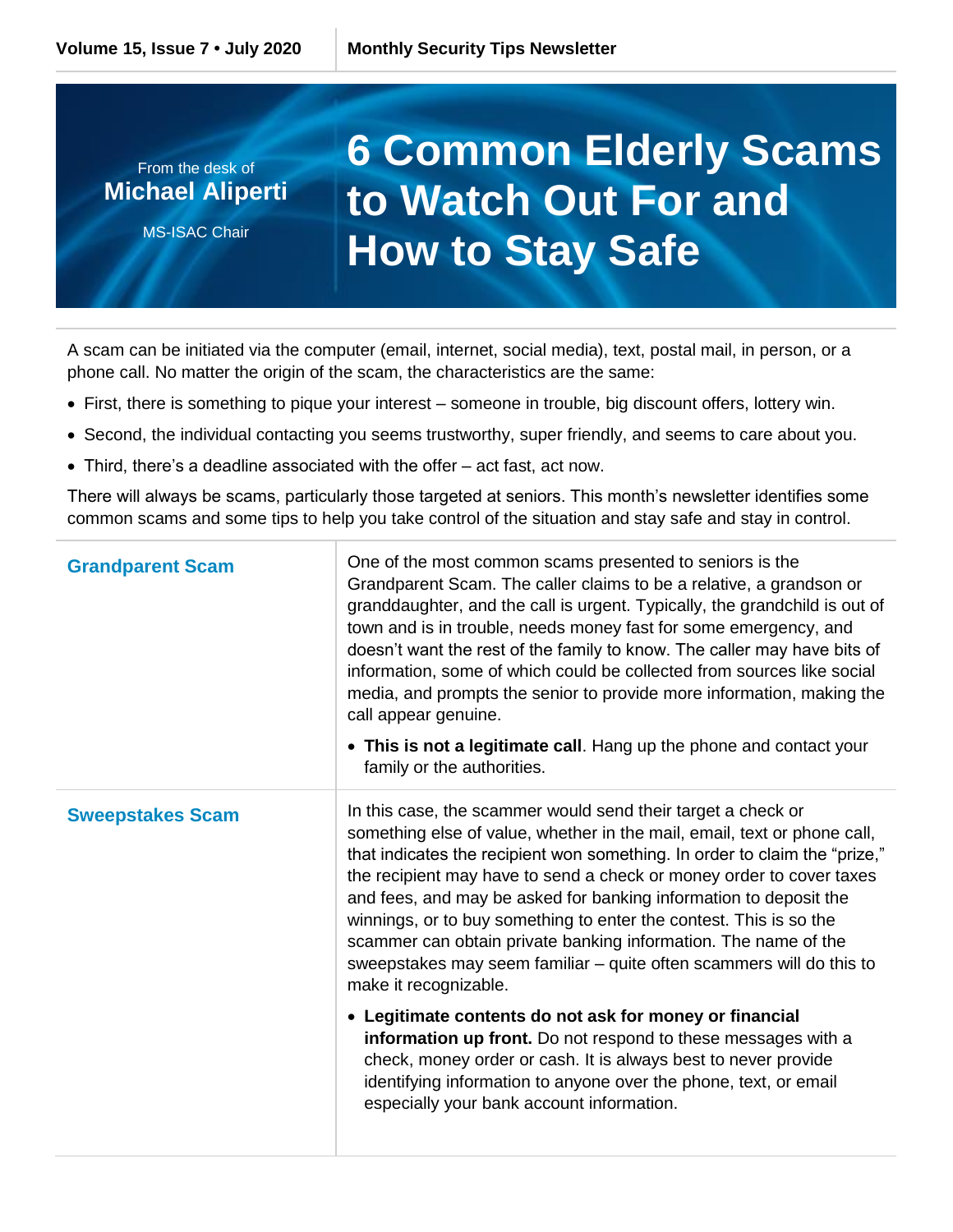## From the desk of **Michael Aliperti** MS-ISAC Chair **6 Common Elderly Scams to Watch Out For and How to Stay Safe**

A scam can be initiated via the computer (email, internet, social media), text, postal mail, in person, or a phone call. No matter the origin of the scam, the characteristics are the same:

- First, there is something to pique your interest someone in trouble, big discount offers, lottery win.
- Second, the individual contacting you seems trustworthy, super friendly, and seems to care about you.
- Third, there's a deadline associated with the offer act fast, act now.

There will always be scams, particularly those targeted at seniors. This month's newsletter identifies some common scams and some tips to help you take control of the situation and stay safe and stay in control.

| <b>Grandparent Scam</b> | One of the most common scams presented to seniors is the<br>Grandparent Scam. The caller claims to be a relative, a grandson or<br>granddaughter, and the call is urgent. Typically, the grandchild is out of<br>town and is in trouble, needs money fast for some emergency, and<br>doesn't want the rest of the family to know. The caller may have bits of<br>information, some of which could be collected from sources like social<br>media, and prompts the senior to provide more information, making the<br>call appear genuine.<br>• This is not a legitimate call. Hang up the phone and contact your<br>family or the authorities.                                                                                                                                                                                                                                                                                |
|-------------------------|------------------------------------------------------------------------------------------------------------------------------------------------------------------------------------------------------------------------------------------------------------------------------------------------------------------------------------------------------------------------------------------------------------------------------------------------------------------------------------------------------------------------------------------------------------------------------------------------------------------------------------------------------------------------------------------------------------------------------------------------------------------------------------------------------------------------------------------------------------------------------------------------------------------------------|
| <b>Sweepstakes Scam</b> | In this case, the scammer would send their target a check or<br>something else of value, whether in the mail, email, text or phone call,<br>that indicates the recipient won something. In order to claim the "prize,"<br>the recipient may have to send a check or money order to cover taxes<br>and fees, and may be asked for banking information to deposit the<br>winnings, or to buy something to enter the contest. This is so the<br>scammer can obtain private banking information. The name of the<br>sweepstakes may seem familiar - quite often scammers will do this to<br>make it recognizable.<br>• Legitimate contents do not ask for money or financial<br>information up front. Do not respond to these messages with a<br>check, money order or cash. It is always best to never provide<br>identifying information to anyone over the phone, text, or email<br>especially your bank account information. |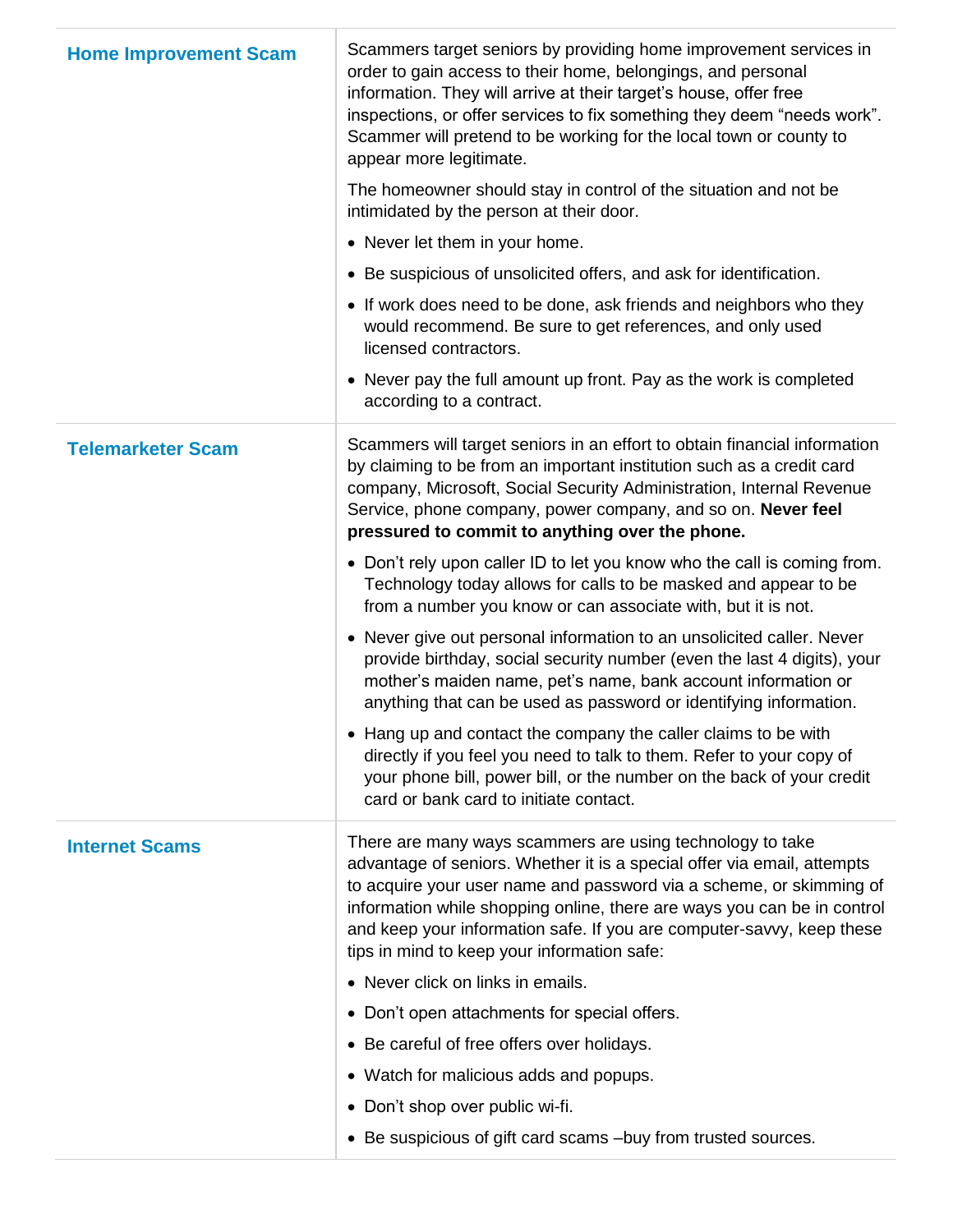| <b>Home Improvement Scam</b> | Scammers target seniors by providing home improvement services in<br>order to gain access to their home, belongings, and personal<br>information. They will arrive at their target's house, offer free<br>inspections, or offer services to fix something they deem "needs work".<br>Scammer will pretend to be working for the local town or county to<br>appear more legitimate.                             |
|------------------------------|----------------------------------------------------------------------------------------------------------------------------------------------------------------------------------------------------------------------------------------------------------------------------------------------------------------------------------------------------------------------------------------------------------------|
|                              | The homeowner should stay in control of the situation and not be<br>intimidated by the person at their door.                                                                                                                                                                                                                                                                                                   |
|                              | • Never let them in your home.                                                                                                                                                                                                                                                                                                                                                                                 |
|                              | • Be suspicious of unsolicited offers, and ask for identification.                                                                                                                                                                                                                                                                                                                                             |
|                              | • If work does need to be done, ask friends and neighbors who they<br>would recommend. Be sure to get references, and only used<br>licensed contractors.                                                                                                                                                                                                                                                       |
|                              | • Never pay the full amount up front. Pay as the work is completed<br>according to a contract.                                                                                                                                                                                                                                                                                                                 |
| <b>Telemarketer Scam</b>     | Scammers will target seniors in an effort to obtain financial information<br>by claiming to be from an important institution such as a credit card<br>company, Microsoft, Social Security Administration, Internal Revenue<br>Service, phone company, power company, and so on. Never feel<br>pressured to commit to anything over the phone.                                                                  |
|                              | • Don't rely upon caller ID to let you know who the call is coming from.<br>Technology today allows for calls to be masked and appear to be<br>from a number you know or can associate with, but it is not.                                                                                                                                                                                                    |
|                              | • Never give out personal information to an unsolicited caller. Never<br>provide birthday, social security number (even the last 4 digits), your<br>mother's maiden name, pet's name, bank account information or<br>anything that can be used as password or identifying information.                                                                                                                         |
|                              | • Hang up and contact the company the caller claims to be with<br>directly if you feel you need to talk to them. Refer to your copy of<br>your phone bill, power bill, or the number on the back of your credit<br>card or bank card to initiate contact.                                                                                                                                                      |
| <b>Internet Scams</b>        | There are many ways scammers are using technology to take<br>advantage of seniors. Whether it is a special offer via email, attempts<br>to acquire your user name and password via a scheme, or skimming of<br>information while shopping online, there are ways you can be in control<br>and keep your information safe. If you are computer-savvy, keep these<br>tips in mind to keep your information safe: |
|                              | • Never click on links in emails.                                                                                                                                                                                                                                                                                                                                                                              |
|                              | • Don't open attachments for special offers.                                                                                                                                                                                                                                                                                                                                                                   |
|                              | • Be careful of free offers over holidays.                                                                                                                                                                                                                                                                                                                                                                     |
|                              | • Watch for malicious adds and popups.                                                                                                                                                                                                                                                                                                                                                                         |
|                              | • Don't shop over public wi-fi.                                                                                                                                                                                                                                                                                                                                                                                |
|                              | • Be suspicious of gift card scams -buy from trusted sources.                                                                                                                                                                                                                                                                                                                                                  |